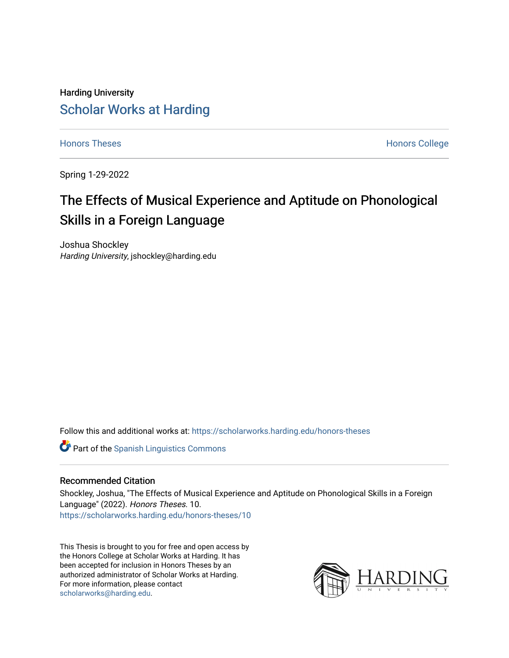## Harding University [Scholar Works at Harding](https://scholarworks.harding.edu/)

[Honors Theses](https://scholarworks.harding.edu/honors-theses) **Honors** College **Honors** College

Spring 1-29-2022

# The Effects of Musical Experience and Aptitude on Phonological Skills in a Foreign Language

Joshua Shockley Harding University, jshockley@harding.edu

Follow this and additional works at: [https://scholarworks.harding.edu/honors-theses](https://scholarworks.harding.edu/honors-theses?utm_source=scholarworks.harding.edu%2Fhonors-theses%2F10&utm_medium=PDF&utm_campaign=PDFCoverPages) 

**Part of the Spanish Linguistics Commons** 

#### Recommended Citation

Shockley, Joshua, "The Effects of Musical Experience and Aptitude on Phonological Skills in a Foreign Language" (2022). Honors Theses. 10. [https://scholarworks.harding.edu/honors-theses/10](https://scholarworks.harding.edu/honors-theses/10?utm_source=scholarworks.harding.edu%2Fhonors-theses%2F10&utm_medium=PDF&utm_campaign=PDFCoverPages)

This Thesis is brought to you for free and open access by the Honors College at Scholar Works at Harding. It has been accepted for inclusion in Honors Theses by an authorized administrator of Scholar Works at Harding. For more information, please contact [scholarworks@harding.edu](mailto:scholarworks@harding.edu).

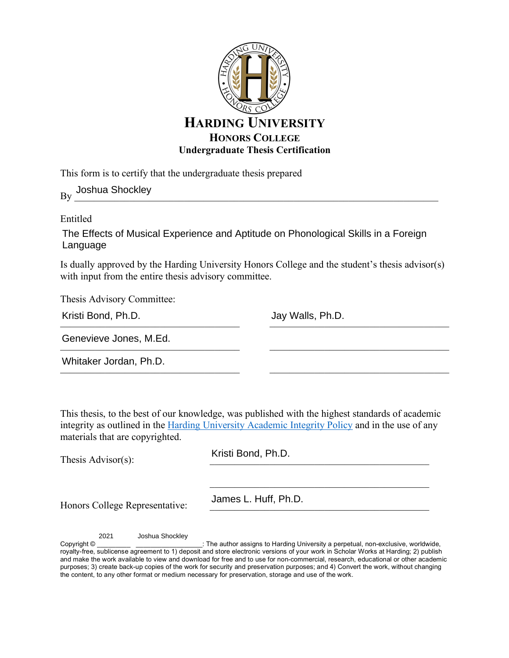

This form is to certify that the undergraduate thesis prepared

 $By \frac{1}{2}$ Joshua Shockley

Entitled

The Effects of Musical Experience and Aptitude on Phonological Skills in a Foreign Language

Is dually approved by the Harding University Honors College and the student's thesis advisor(s) with input from the entire thesis advisory committee.

Thesis Advisory Committee:

| Kristi Bond, Ph.D. |  |
|--------------------|--|
|                    |  |

 $\frac{1}{2}$ 

 $\mathcal{L}_\text{max}$  and the contract of the contract of the contract of the contract of the contract of the contract of the contract of the contract of the contract of the contract of the contract of the contract of the contrac

 $\mathcal{L}_\text{max}$  , and the set of the set of the set of the set of the set of the set of the set of the set of the set of the set of the set of the set of the set of the set of the set of the set of the set of the set of the

 $\mathcal{L}_\text{max}$ 

Genevieve Jones, M.Ed. Kristi Bond, Ph.D. Jay Walls, Ph.D.<br>Genevieve Jones, M.Ed. Jay Walls, Ph.D.<br>Whitaker Jordan, Ph.D.

Whitaker Jordan, Ph.D.

This thesis, to the best of our knowledge, was published with the highest standards of academic integrity as outlined in the Harding University Academic Integrity Policy and in the use of any materials that are copyrighted.

Thesis Advisor $(s)$ :

Kristi Bond, Ph.D.

Honors College Representative:

James L. Huff, Ph.D.

2021 Joshua Shockley

Copyright © \_\_\_\_\_\_\_\_\_\_\_\_\_\_\_\_\_\_\_\_\_\_\_\_\_\_\_\_: The author assigns to Harding University a perpetual, non-exclusive, worldwide, royalty-free, sublicense agreement to 1) deposit and store electronic versions of your work in Scholar Works at Harding; 2) publish and make the work available to view and download for free and to use for non-commercial, research, educational or other academic purposes; 3) create back-up copies of the work for security and preservation purposes; and 4) Convert the work, without changing the content, to any other format or medium necessary for preservation, storage and use of the work.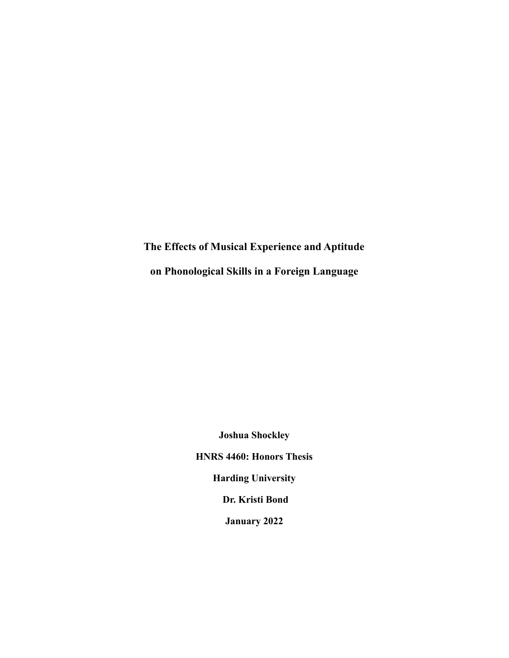**The Effects of Musical Experience and Aptitude on Phonological Skills in a Foreign Language**

> **Joshua Shockley HNRS 4460: Honors Thesis Harding University Dr. Kristi Bond January 2022**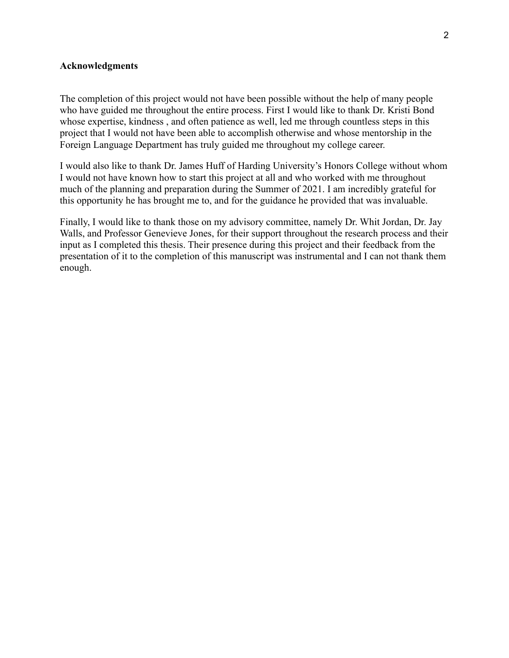## **Acknowledgments**

The completion of this project would not have been possible without the help of many people who have guided me throughout the entire process. First I would like to thank Dr. Kristi Bond whose expertise, kindness , and often patience as well, led me through countless steps in this project that I would not have been able to accomplish otherwise and whose mentorship in the Foreign Language Department has truly guided me throughout my college career.

I would also like to thank Dr. James Huff of Harding University's Honors College without whom I would not have known how to start this project at all and who worked with me throughout much of the planning and preparation during the Summer of 2021. I am incredibly grateful for this opportunity he has brought me to, and for the guidance he provided that was invaluable.

Finally, I would like to thank those on my advisory committee, namely Dr. Whit Jordan, Dr. Jay Walls, and Professor Genevieve Jones, for their support throughout the research process and their input as I completed this thesis. Their presence during this project and their feedback from the presentation of it to the completion of this manuscript was instrumental and I can not thank them enough.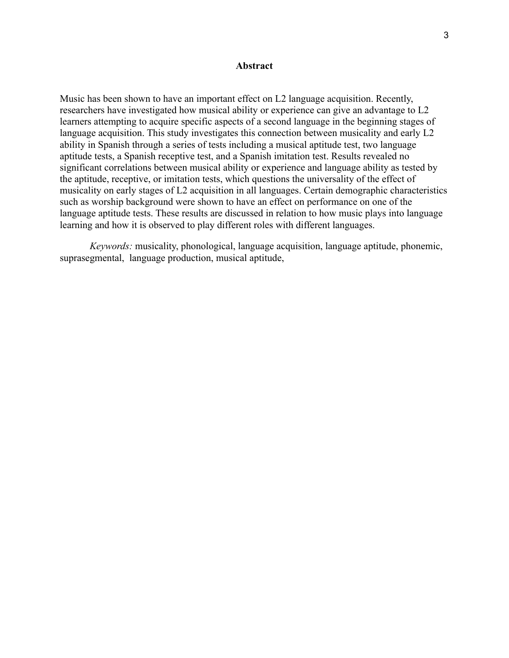#### **Abstract**

Music has been shown to have an important effect on L2 language acquisition. Recently, researchers have investigated how musical ability or experience can give an advantage to L2 learners attempting to acquire specific aspects of a second language in the beginning stages of language acquisition. This study investigates this connection between musicality and early L2 ability in Spanish through a series of tests including a musical aptitude test, two language aptitude tests, a Spanish receptive test, and a Spanish imitation test. Results revealed no significant correlations between musical ability or experience and language ability as tested by the aptitude, receptive, or imitation tests, which questions the universality of the effect of musicality on early stages of L2 acquisition in all languages. Certain demographic characteristics such as worship background were shown to have an effect on performance on one of the language aptitude tests. These results are discussed in relation to how music plays into language learning and how it is observed to play different roles with different languages.

*Keywords:* musicality, phonological, language acquisition, language aptitude, phonemic, suprasegmental, language production, musical aptitude,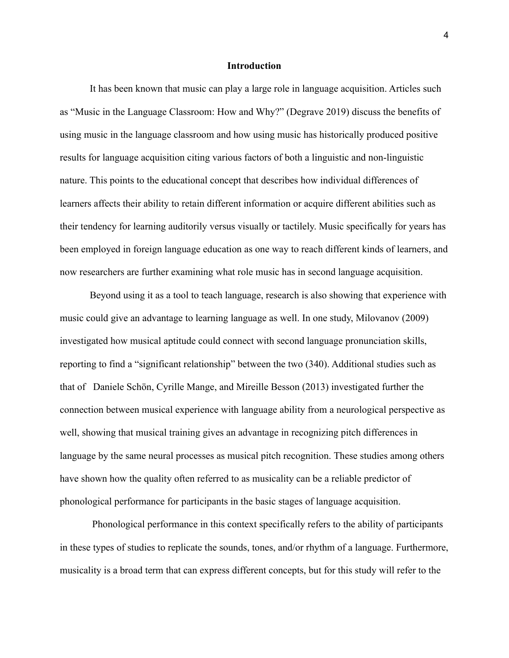#### **Introduction**

It has been known that music can play a large role in language acquisition. Articles such as "Music in the Language Classroom: How and Why?" (Degrave 2019) discuss the benefits of using music in the language classroom and how using music has historically produced positive results for language acquisition citing various factors of both a linguistic and non-linguistic nature. This points to the educational concept that describes how individual differences of learners affects their ability to retain different information or acquire different abilities such as their tendency for learning auditorily versus visually or tactilely. Music specifically for years has been employed in foreign language education as one way to reach different kinds of learners, and now researchers are further examining what role music has in second language acquisition.

Beyond using it as a tool to teach language, research is also showing that experience with music could give an advantage to learning language as well. In one study, Milovanov (2009) investigated how musical aptitude could connect with second language pronunciation skills, reporting to find a "significant relationship" between the two (340). Additional studies such as that of Daniele Schön, Cyrille Mange, and Mireille Besson (2013) investigated further the connection between musical experience with language ability from a neurological perspective as well, showing that musical training gives an advantage in recognizing pitch differences in language by the same neural processes as musical pitch recognition. These studies among others have shown how the quality often referred to as musicality can be a reliable predictor of phonological performance for participants in the basic stages of language acquisition.

Phonological performance in this context specifically refers to the ability of participants in these types of studies to replicate the sounds, tones, and/or rhythm of a language. Furthermore, musicality is a broad term that can express different concepts, but for this study will refer to the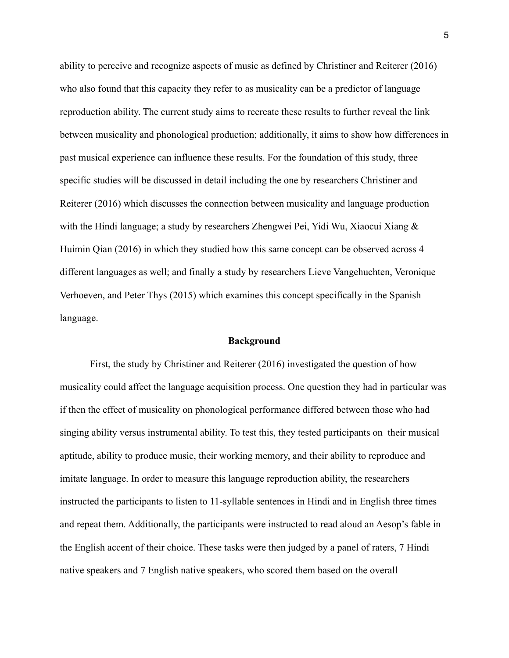ability to perceive and recognize aspects of music as defined by Christiner and Reiterer (2016) who also found that this capacity they refer to as musicality can be a predictor of language reproduction ability. The current study aims to recreate these results to further reveal the link between musicality and phonological production; additionally, it aims to show how differences in past musical experience can influence these results. For the foundation of this study, three specific studies will be discussed in detail including the one by researchers Christiner and Reiterer (2016) which discusses the connection between musicality and language production with the Hindi language; a study by researchers Zhengwei Pei, Yidi Wu, Xiaocui Xiang & Huimin Qian (2016) in which they studied how this same concept can be observed across 4 different languages as well; and finally a study by researchers Lieve Vangehuchten, Veronique Verhoeven, and Peter Thys (2015) which examines this concept specifically in the Spanish language.

#### **Background**

First, the study by Christiner and Reiterer (2016) investigated the question of how musicality could affect the language acquisition process. One question they had in particular was if then the effect of musicality on phonological performance differed between those who had singing ability versus instrumental ability. To test this, they tested participants on their musical aptitude, ability to produce music, their working memory, and their ability to reproduce and imitate language. In order to measure this language reproduction ability, the researchers instructed the participants to listen to 11-syllable sentences in Hindi and in English three times and repeat them. Additionally, the participants were instructed to read aloud an Aesop's fable in the English accent of their choice. These tasks were then judged by a panel of raters, 7 Hindi native speakers and 7 English native speakers, who scored them based on the overall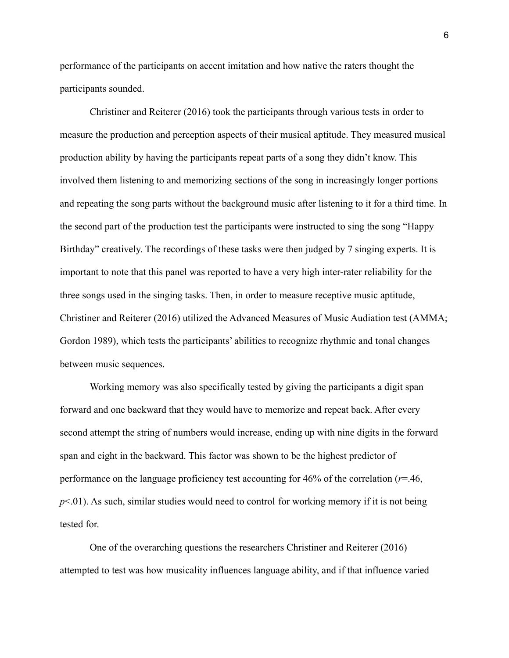performance of the participants on accent imitation and how native the raters thought the participants sounded.

Christiner and Reiterer (2016) took the participants through various tests in order to measure the production and perception aspects of their musical aptitude. They measured musical production ability by having the participants repeat parts of a song they didn't know. This involved them listening to and memorizing sections of the song in increasingly longer portions and repeating the song parts without the background music after listening to it for a third time. In the second part of the production test the participants were instructed to sing the song "Happy Birthday" creatively. The recordings of these tasks were then judged by 7 singing experts. It is important to note that this panel was reported to have a very high inter-rater reliability for the three songs used in the singing tasks. Then, in order to measure receptive music aptitude, Christiner and Reiterer (2016) utilized the Advanced Measures of Music Audiation test (AMMA; Gordon 1989), which tests the participants' abilities to recognize rhythmic and tonal changes between music sequences.

Working memory was also specifically tested by giving the participants a digit span forward and one backward that they would have to memorize and repeat back. After every second attempt the string of numbers would increase, ending up with nine digits in the forward span and eight in the backward. This factor was shown to be the highest predictor of performance on the language proficiency test accounting for 46% of the correlation (*r*=.46,  $p<.01$ ). As such, similar studies would need to control for working memory if it is not being tested for.

One of the overarching questions the researchers Christiner and Reiterer (2016) attempted to test was how musicality influences language ability, and if that influence varied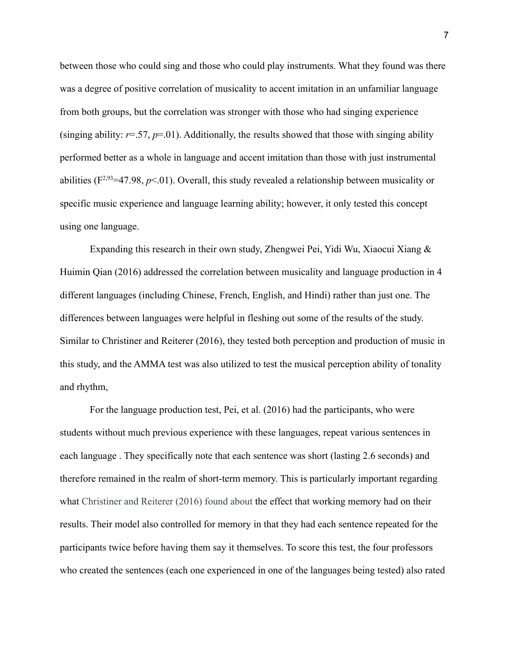between those who could sing and those who could play instruments. What they found was there was a degree of positive correlation of musicality to accent imitation in an unfamiliar language from both groups, but the correlation was stronger with those who had singing experience (singing ability:  $r=57$ ,  $p=01$ ). Additionally, the results showed that those with singing ability performed better as a whole in language and accent imitation than those with just instrumental abilities ( $F^{2,93}$ =47.98,  $p$ <.01). Overall, this study revealed a relationship between musicality or specific music experience and language learning ability; however, it only tested this concept using one language.

Expanding this research in their own study, Zhengwei Pei, Yidi Wu, Xiaocui Xiang & Huimin Qian (2016) addressed the correlation between musicality and language production in 4 different languages (including Chinese, French, English, and Hindi) rather than just one. The differences between languages were helpful in fleshing out some of the results of the study. Similar to Christiner and Reiterer (2016), they tested both perception and production of music in this study, and the AMMA test was also utilized to test the musical perception ability of tonality and rhythm,

For the language production test, Pei, et al. (2016) had the participants, who were students without much previous experience with these languages, repeat various sentences in each language . They specifically note that each sentence was short (lasting 2.6 seconds) and therefore remained in the realm of short-term memory. This is particularly important regarding what Christiner and Reiterer (2016) found about the effect that working memory had on their results. Their model also controlled for memory in that they had each sentence repeated for the participants twice before having them say it themselves. To score this test, the four professors who created the sentences (each one experienced in one of the languages being tested) also rated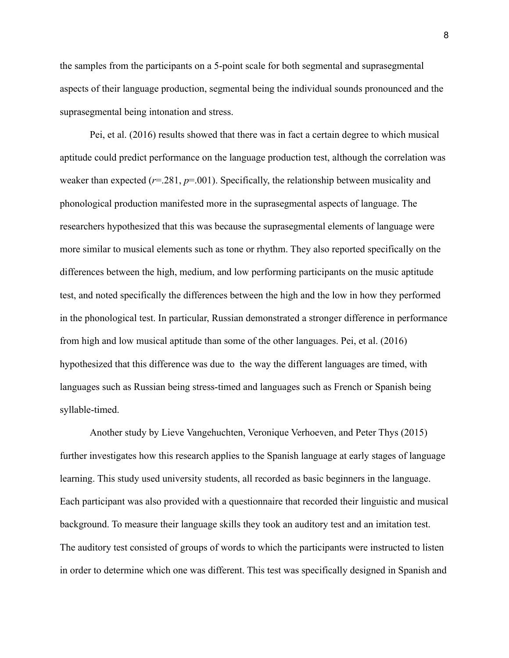the samples from the participants on a 5-point scale for both segmental and suprasegmental aspects of their language production, segmental being the individual sounds pronounced and the suprasegmental being intonation and stress.

Pei, et al. (2016) results showed that there was in fact a certain degree to which musical aptitude could predict performance on the language production test, although the correlation was weaker than expected (*r*=.281, *p*=.001). Specifically, the relationship between musicality and phonological production manifested more in the suprasegmental aspects of language. The researchers hypothesized that this was because the suprasegmental elements of language were more similar to musical elements such as tone or rhythm. They also reported specifically on the differences between the high, medium, and low performing participants on the music aptitude test, and noted specifically the differences between the high and the low in how they performed in the phonological test. In particular, Russian demonstrated a stronger difference in performance from high and low musical aptitude than some of the other languages. Pei, et al. (2016) hypothesized that this difference was due to the way the different languages are timed, with languages such as Russian being stress-timed and languages such as French or Spanish being syllable-timed.

Another study by Lieve Vangehuchten, Veronique Verhoeven, and Peter Thys (2015) further investigates how this research applies to the Spanish language at early stages of language learning. This study used university students, all recorded as basic beginners in the language. Each participant was also provided with a questionnaire that recorded their linguistic and musical background. To measure their language skills they took an auditory test and an imitation test. The auditory test consisted of groups of words to which the participants were instructed to listen in order to determine which one was different. This test was specifically designed in Spanish and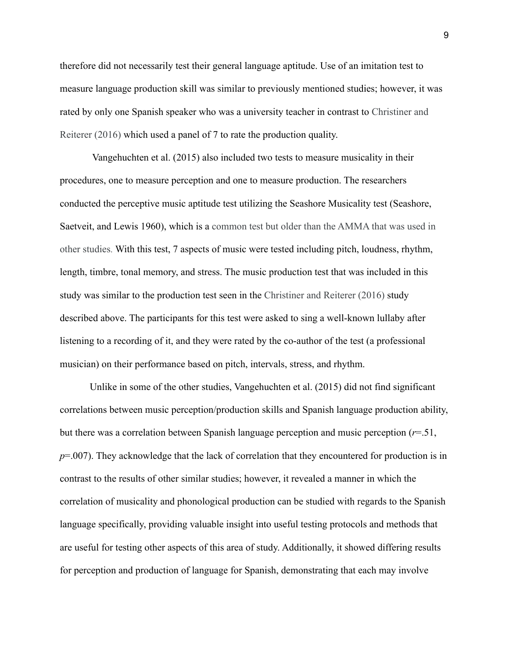therefore did not necessarily test their general language aptitude. Use of an imitation test to measure language production skill was similar to previously mentioned studies; however, it was rated by only one Spanish speaker who was a university teacher in contrast to Christiner and Reiterer (2016) which used a panel of 7 to rate the production quality.

Vangehuchten et al. (2015) also included two tests to measure musicality in their procedures, one to measure perception and one to measure production. The researchers conducted the perceptive music aptitude test utilizing the Seashore Musicality test (Seashore, Saetveit, and Lewis 1960), which is a common test but older than the AMMA that was used in other studies. With this test, 7 aspects of music were tested including pitch, loudness, rhythm, length, timbre, tonal memory, and stress. The music production test that was included in this study was similar to the production test seen in the Christiner and Reiterer (2016) study described above. The participants for this test were asked to sing a well-known lullaby after listening to a recording of it, and they were rated by the co-author of the test (a professional musician) on their performance based on pitch, intervals, stress, and rhythm.

Unlike in some of the other studies, Vangehuchten et al. (2015) did not find significant correlations between music perception/production skills and Spanish language production ability, but there was a correlation between Spanish language perception and music perception  $(r=0.51)$ , *p*=.007). They acknowledge that the lack of correlation that they encountered for production is in contrast to the results of other similar studies; however, it revealed a manner in which the correlation of musicality and phonological production can be studied with regards to the Spanish language specifically, providing valuable insight into useful testing protocols and methods that are useful for testing other aspects of this area of study. Additionally, it showed differing results for perception and production of language for Spanish, demonstrating that each may involve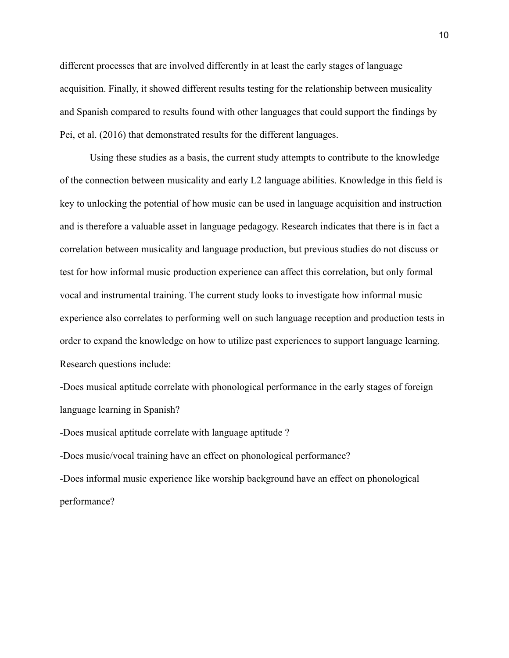different processes that are involved differently in at least the early stages of language acquisition. Finally, it showed different results testing for the relationship between musicality and Spanish compared to results found with other languages that could support the findings by Pei, et al. (2016) that demonstrated results for the different languages.

Using these studies as a basis, the current study attempts to contribute to the knowledge of the connection between musicality and early L2 language abilities. Knowledge in this field is key to unlocking the potential of how music can be used in language acquisition and instruction and is therefore a valuable asset in language pedagogy. Research indicates that there is in fact a correlation between musicality and language production, but previous studies do not discuss or test for how informal music production experience can affect this correlation, but only formal vocal and instrumental training. The current study looks to investigate how informal music experience also correlates to performing well on such language reception and production tests in order to expand the knowledge on how to utilize past experiences to support language learning. Research questions include:

-Does musical aptitude correlate with phonological performance in the early stages of foreign language learning in Spanish?

-Does musical aptitude correlate with language aptitude ?

*-*Does music/vocal training have an effect on phonological performance?

-Does informal music experience like worship background have an effect on phonological performance?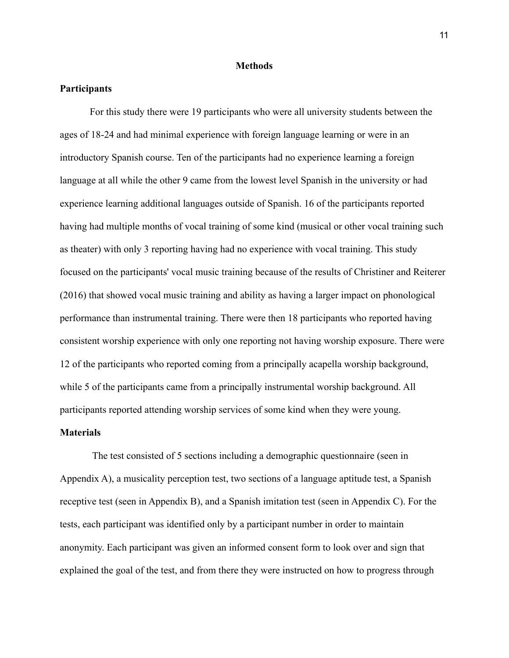#### **Methods**

#### **Participants**

For this study there were 19 participants who were all university students between the ages of 18-24 and had minimal experience with foreign language learning or were in an introductory Spanish course. Ten of the participants had no experience learning a foreign language at all while the other 9 came from the lowest level Spanish in the university or had experience learning additional languages outside of Spanish. 16 of the participants reported having had multiple months of vocal training of some kind (musical or other vocal training such as theater) with only 3 reporting having had no experience with vocal training. This study focused on the participants' vocal music training because of the results of Christiner and Reiterer (2016) that showed vocal music training and ability as having a larger impact on phonological performance than instrumental training. There were then 18 participants who reported having consistent worship experience with only one reporting not having worship exposure. There were 12 of the participants who reported coming from a principally acapella worship background, while 5 of the participants came from a principally instrumental worship background. All participants reported attending worship services of some kind when they were young.

#### **Materials**

The test consisted of 5 sections including a demographic questionnaire (seen in Appendix A), a musicality perception test, two sections of a language aptitude test, a Spanish receptive test (seen in Appendix B), and a Spanish imitation test (seen in Appendix C). For the tests, each participant was identified only by a participant number in order to maintain anonymity. Each participant was given an informed consent form to look over and sign that explained the goal of the test, and from there they were instructed on how to progress through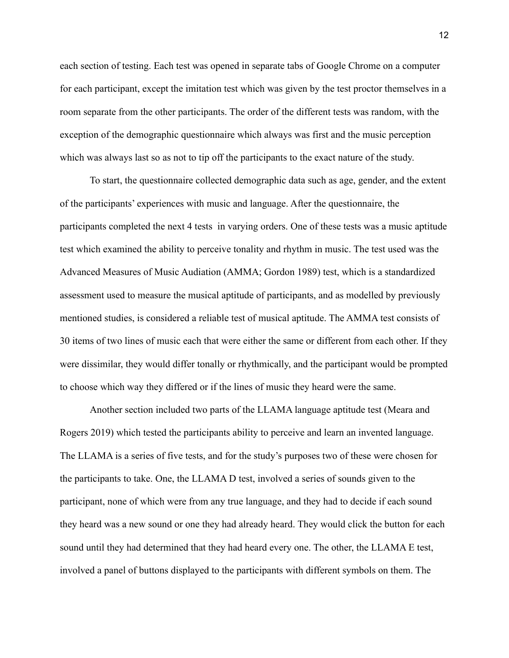each section of testing. Each test was opened in separate tabs of Google Chrome on a computer for each participant, except the imitation test which was given by the test proctor themselves in a room separate from the other participants. The order of the different tests was random, with the exception of the demographic questionnaire which always was first and the music perception which was always last so as not to tip off the participants to the exact nature of the study.

To start, the questionnaire collected demographic data such as age, gender, and the extent of the participants' experiences with music and language. After the questionnaire, the participants completed the next 4 tests in varying orders. One of these tests was a music aptitude test which examined the ability to perceive tonality and rhythm in music. The test used was the Advanced Measures of Music Audiation (AMMA; Gordon 1989) test, which is a standardized assessment used to measure the musical aptitude of participants, and as modelled by previously mentioned studies, is considered a reliable test of musical aptitude. The AMMA test consists of 30 items of two lines of music each that were either the same or different from each other. If they were dissimilar, they would differ tonally or rhythmically, and the participant would be prompted to choose which way they differed or if the lines of music they heard were the same.

Another section included two parts of the LLAMA language aptitude test (Meara and Rogers 2019) which tested the participants ability to perceive and learn an invented language. The LLAMA is a series of five tests, and for the study's purposes two of these were chosen for the participants to take. One, the LLAMA D test, involved a series of sounds given to the participant, none of which were from any true language, and they had to decide if each sound they heard was a new sound or one they had already heard. They would click the button for each sound until they had determined that they had heard every one. The other, the LLAMA E test, involved a panel of buttons displayed to the participants with different symbols on them. The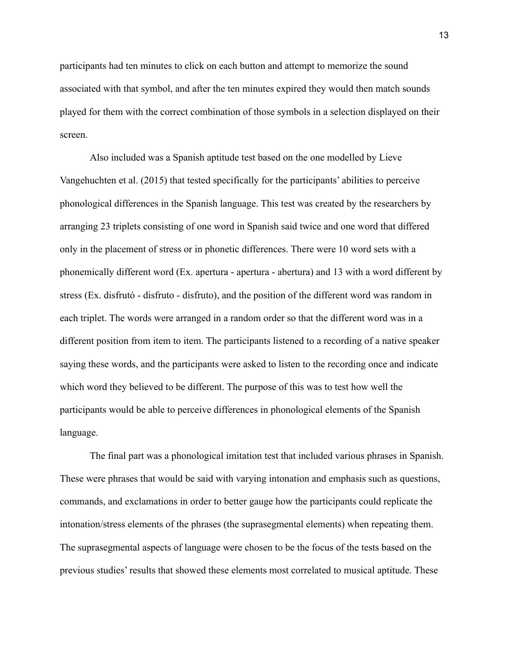participants had ten minutes to click on each button and attempt to memorize the sound associated with that symbol, and after the ten minutes expired they would then match sounds played for them with the correct combination of those symbols in a selection displayed on their screen.

Also included was a Spanish aptitude test based on the one modelled by Lieve Vangehuchten et al. (2015) that tested specifically for the participants' abilities to perceive phonological differences in the Spanish language. This test was created by the researchers by arranging 23 triplets consisting of one word in Spanish said twice and one word that differed only in the placement of stress or in phonetic differences. There were 10 word sets with a phonemically different word (Ex. apertura - apertura - abertura) and 13 with a word different by stress (Ex. disfrutó - disfruto - disfruto), and the position of the different word was random in each triplet. The words were arranged in a random order so that the different word was in a different position from item to item. The participants listened to a recording of a native speaker saying these words, and the participants were asked to listen to the recording once and indicate which word they believed to be different. The purpose of this was to test how well the participants would be able to perceive differences in phonological elements of the Spanish language.

The final part was a phonological imitation test that included various phrases in Spanish. These were phrases that would be said with varying intonation and emphasis such as questions, commands, and exclamations in order to better gauge how the participants could replicate the intonation/stress elements of the phrases (the suprasegmental elements) when repeating them. The suprasegmental aspects of language were chosen to be the focus of the tests based on the previous studies' results that showed these elements most correlated to musical aptitude. These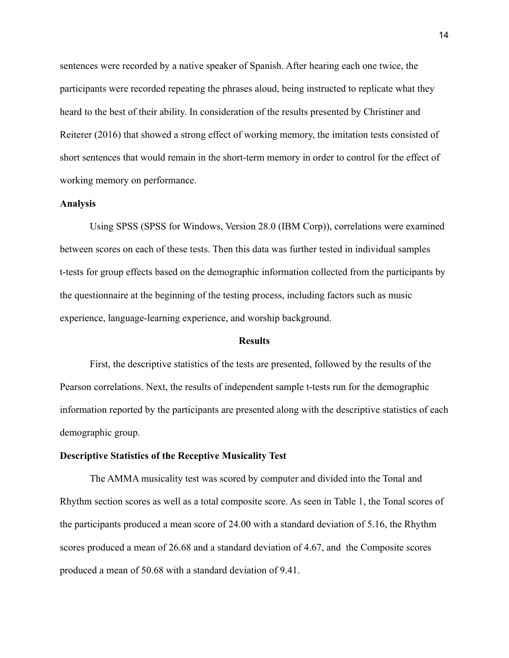sentences were recorded by a native speaker of Spanish. After hearing each one twice, the participants were recorded repeating the phrases aloud, being instructed to replicate what they heard to the best of their ability. In consideration of the results presented by Christiner and Reiterer (2016) that showed a strong effect of working memory, the imitation tests consisted of short sentences that would remain in the short-term memory in order to control for the effect of working memory on performance.

#### **Analysis**

Using SPSS (SPSS for Windows, Version 28.0 (IBM Corp)), correlations were examined between scores on each of these tests. Then this data was further tested in individual samples t-tests for group effects based on the demographic information collected from the participants by the questionnaire at the beginning of the testing process, including factors such as music experience, language-learning experience, and worship background.

#### **Results**

First, the descriptive statistics of the tests are presented, followed by the results of the Pearson correlations. Next, the results of independent sample t-tests run for the demographic information reported by the participants are presented along with the descriptive statistics of each demographic group.

#### **Descriptive Statistics of the Receptive Musicality Test**

The AMMA musicality test was scored by computer and divided into the Tonal and Rhythm section scores as well as a total composite score. As seen in Table 1, the Tonal scores of the participants produced a mean score of 24.00 with a standard deviation of 5.16, the Rhythm scores produced a mean of 26.68 and a standard deviation of 4.67, and the Composite scores produced a mean of 50.68 with a standard deviation of 9.41.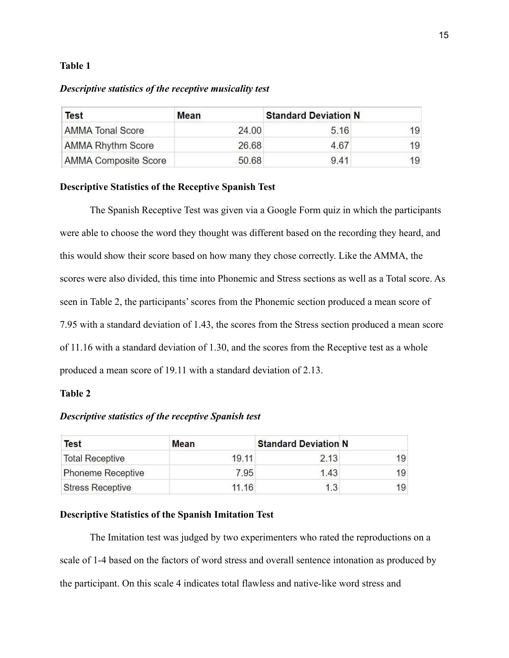#### **Table 1**

#### *Descriptive statistics of the receptive musicality test*

| <b>Test</b>                 | Mean  | <b>Standard Deviation N</b> |    |
|-----------------------------|-------|-----------------------------|----|
| <b>AMMA Tonal Score</b>     | 24.00 | 5.16                        | 19 |
| <b>AMMA Rhythm Score</b>    | 26.68 | 4.67                        | 19 |
| <b>AMMA Composite Score</b> | 50.68 | 941                         | 19 |

#### **Descriptive Statistics of the Receptive Spanish Test**

The Spanish Receptive Test was given via a Google Form quiz in which the participants were able to choose the word they thought was different based on the recording they heard, and this would show their score based on how many they chose correctly. Like the AMMA, the scores were also divided, this time into Phonemic and Stress sections as well as a Total score. As seen in Table 2, the participants' scores from the Phonemic section produced a mean score of 7.95 with a standard deviation of 1.43, the scores from the Stress section produced a mean score of 11.16 with a standard deviation of 1.30, and the scores from the Receptive test as a whole produced a mean score of 19.11 with a standard deviation of 2.13.

## **Table 2**

## *Descriptive statistics of the receptive Spanish test*

| <b>Test</b>              | Mean  | <b>Standard Deviation N</b> |    |
|--------------------------|-------|-----------------------------|----|
| <b>Total Receptive</b>   | 19.11 | 2.13                        | 19 |
| <b>Phoneme Receptive</b> | 7.95  | 1.43                        | 19 |
| <b>Stress Receptive</b>  | 11.16 | 1.3                         | 19 |

#### **Descriptive Statistics of the Spanish Imitation Test**

The Imitation test was judged by two experimenters who rated the reproductions on a scale of 1-4 based on the factors of word stress and overall sentence intonation as produced by the participant. On this scale 4 indicates total flawless and native-like word stress and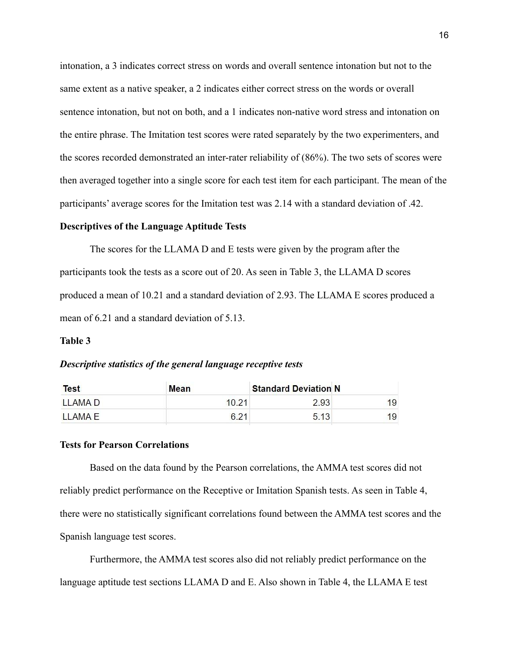intonation, a 3 indicates correct stress on words and overall sentence intonation but not to the same extent as a native speaker, a 2 indicates either correct stress on the words or overall sentence intonation, but not on both, and a 1 indicates non-native word stress and intonation on the entire phrase. The Imitation test scores were rated separately by the two experimenters, and the scores recorded demonstrated an inter-rater reliability of (86%). The two sets of scores were then averaged together into a single score for each test item for each participant. The mean of the participants' average scores for the Imitation test was 2.14 with a standard deviation of .42.

#### **Descriptives of the Language Aptitude Tests**

The scores for the LLAMA D and E tests were given by the program after the participants took the tests as a score out of 20. As seen in Table 3, the LLAMA D scores produced a mean of 10.21 and a standard deviation of 2.93. The LLAMA E scores produced a mean of 6.21 and a standard deviation of 5.13.

#### **Table 3**

#### *Descriptive statistics of the general language receptive tests*

| <b>Test</b> | Mean  | <b>Standard Deviation N</b> |    |
|-------------|-------|-----------------------------|----|
| LLAMA D     | 10.21 | 2.93                        | 19 |
| LLAMA E     | 6.21  | 5.13                        | 19 |

## **Tests for Pearson Correlations**

Based on the data found by the Pearson correlations, the AMMA test scores did not reliably predict performance on the Receptive or Imitation Spanish tests. As seen in Table 4, there were no statistically significant correlations found between the AMMA test scores and the Spanish language test scores.

Furthermore, the AMMA test scores also did not reliably predict performance on the language aptitude test sections LLAMA D and E. Also shown in Table 4, the LLAMA E test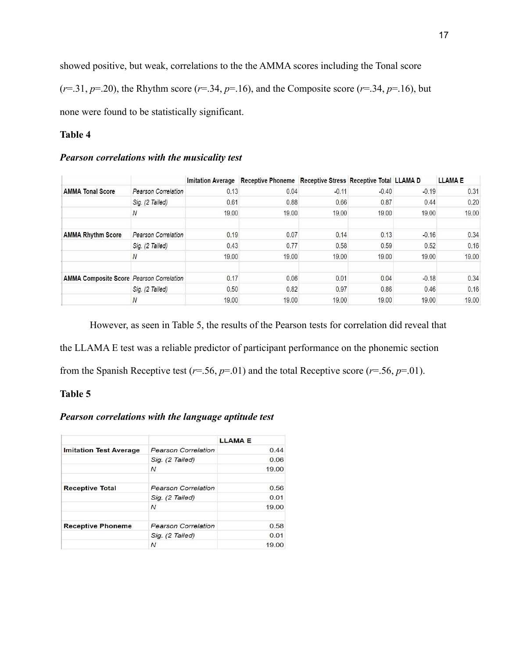showed positive, but weak, correlations to the the AMMA scores including the Tonal score

 $(r=0.31, p=0.20)$ , the Rhythm score  $(r=0.34, p=0.16)$ , and the Composite score  $(r=0.34, p=0.16)$ , but

none were found to be statistically significant.

## **Table 4**

## *Pearson correlations with the musicality test*

|                                                 |                            | <b>Imitation Average</b> | Receptive Phoneme Receptive Stress Receptive Total LLAMA D |         |         |         | <b>LLAMAE</b> |
|-------------------------------------------------|----------------------------|--------------------------|------------------------------------------------------------|---------|---------|---------|---------------|
| <b>AMMA Tonal Score</b>                         | <b>Pearson Correlation</b> | 0.13                     | 0.04                                                       | $-0.11$ | $-0.40$ | $-0.19$ | 0.31          |
|                                                 | Sig. (2 Tailed)            | 0.61                     | 0.88                                                       | 0.66    | 0.87    | 0.44    | 0.20          |
|                                                 | N                          | 19.00                    | 19.00                                                      | 19.00   | 19.00   | 19.00   | 19.00         |
| <b>AMMA Rhythm Score</b>                        | <b>Pearson Correlation</b> | 0.19                     | 0.07                                                       | 0.14    | 0.13    | $-0.16$ | 0.34          |
|                                                 | Sig. (2 Tailed)            | 0.43                     | 0.77                                                       | 0.58    | 0.59    | 0.52    | 0.16          |
|                                                 |                            | 19.00                    | 19.00                                                      | 19.00   | 19.00   | 19.00   | 19.00         |
| <b>AMMA Composite Score Pearson Correlation</b> |                            | 0.17                     | 0.06                                                       | 0.01    | 0.04    | $-0.18$ | 0.34          |
|                                                 | Sig. (2 Tailed)            | 0.50                     | 0.82                                                       | 0.97    | 0.86    | 0.46    | 0.16          |
|                                                 | N                          | 19.00                    | 19.00                                                      | 19.00   | 19.00   | 19.00   | 19.00         |

However, as seen in Table 5, the results of the Pearson tests for correlation did reveal that the LLAMA E test was a reliable predictor of participant performance on the phonemic section

from the Spanish Receptive test ( $r=56$ ,  $p=01$ ) and the total Receptive score ( $r=56$ ,  $p=01$ ).

## **Table 5**

## *Pearson correlations with the language aptitude test*

|                               |                            | <b>LLAMAE</b> |
|-------------------------------|----------------------------|---------------|
| <b>Imitation Test Average</b> | <b>Pearson Correlation</b> | 0.44          |
|                               | Sig. (2 Tailed)            | 0.06          |
|                               | $\overline{N}$             | 19.00         |
| <b>Receptive Total</b>        | <b>Pearson Correlation</b> | 0.56          |
|                               | Sig. (2 Tailed)            | 0.01          |
|                               | $\mathcal N$               | 19.00         |
| <b>Receptive Phoneme</b>      | <b>Pearson Correlation</b> | 0.58          |
|                               | Sig. (2 Tailed)            | 0.01          |
|                               | $\overline{N}$             | 19.00         |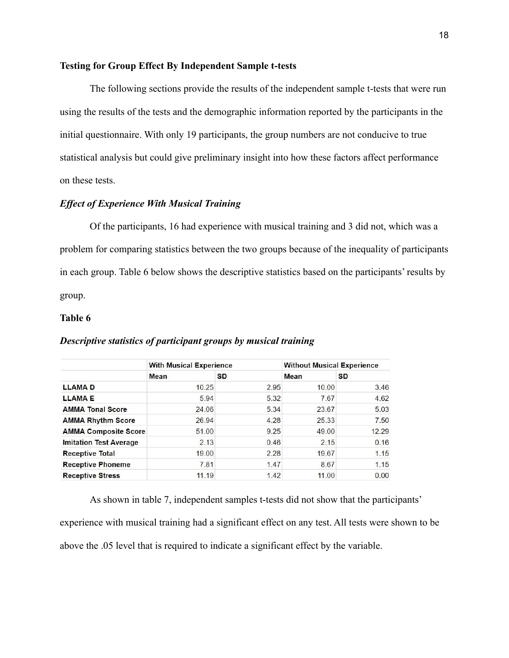#### **Testing for Group Effect By Independent Sample t-tests**

The following sections provide the results of the independent sample t-tests that were run using the results of the tests and the demographic information reported by the participants in the initial questionnaire. With only 19 participants, the group numbers are not conducive to true statistical analysis but could give preliminary insight into how these factors affect performance on these tests.

#### *Effect of Experience With Musical Training*

Of the participants, 16 had experience with musical training and 3 did not, which was a problem for comparing statistics between the two groups because of the inequality of participants in each group. Table 6 below shows the descriptive statistics based on the participants' results by group.

#### **Table 6**

|                               | <b>With Musical Experience</b> |           | <b>Without Musical Experience</b> |           |
|-------------------------------|--------------------------------|-----------|-----------------------------------|-----------|
|                               | <b>Mean</b>                    | <b>SD</b> | Mean                              | <b>SD</b> |
| <b>LLAMAD</b>                 | 10.25                          | 2.95      | 10.00                             | 3.46      |
| <b>LLAMAE</b>                 | 5.94                           | 5.32      | 7.67                              | 4.62      |
| <b>AMMA Tonal Score</b>       | 24.06                          | 5.34      | 23.67                             | 5.03      |
| <b>AMMA Rhythm Score</b>      | 26.94                          | 4.28      | 25.33                             | 7.50      |
| <b>AMMA Composite Score</b>   | 51.00                          | 9.25      | 49.00                             | 12.29     |
| <b>Imitation Test Average</b> | 2.13                           | 0.46      | 2.15                              | 0.16      |
| <b>Receptive Total</b>        | 19.00                          | 2.28      | 19.67                             | 1.15      |
| <b>Receptive Phoneme</b>      | 7.81                           | 1.47      | 8.67                              | 1.15      |
| <b>Receptive Stress</b>       | 11.19                          | 1.42      | 11.00                             | 0.00      |

#### *Descriptive statistics of participant groups by musical training*

As shown in table 7, independent samples t-tests did not show that the participants' experience with musical training had a significant effect on any test. All tests were shown to be above the .05 level that is required to indicate a significant effect by the variable.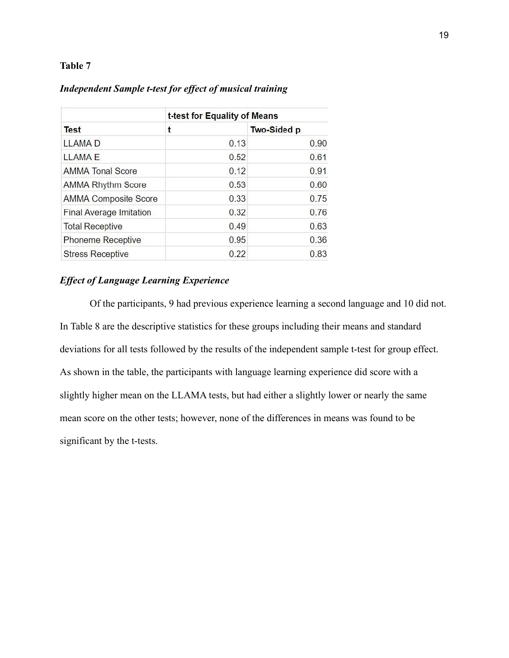## **Table 7**

| <b>Test</b>                    | t-test for Equality of Means |                    |  |  |
|--------------------------------|------------------------------|--------------------|--|--|
|                                | t                            | <b>Two-Sided p</b> |  |  |
| <b>LLAMAD</b>                  | 0.13                         | 0.90               |  |  |
| <b>LLAMAE</b>                  | 0.52                         | 0.61               |  |  |
| <b>AMMA Tonal Score</b>        | 0.12                         | 0.91               |  |  |
| <b>AMMA Rhythm Score</b>       | 0.53                         | 0.60               |  |  |
| <b>AMMA Composite Score</b>    | 0.33                         | 0.75               |  |  |
| <b>Final Average Imitation</b> | 0.32                         | 0.76               |  |  |
| <b>Total Receptive</b>         | 0.49                         | 0.63               |  |  |
| <b>Phoneme Receptive</b>       | 0.95                         | 0.36               |  |  |
| <b>Stress Receptive</b>        | 0.22                         | 0.83               |  |  |

## *Independent Sample t-test for effect of musical training*

## *Effect of Language Learning Experience*

Of the participants, 9 had previous experience learning a second language and 10 did not. In Table 8 are the descriptive statistics for these groups including their means and standard deviations for all tests followed by the results of the independent sample t-test for group effect. As shown in the table, the participants with language learning experience did score with a slightly higher mean on the LLAMA tests, but had either a slightly lower or nearly the same mean score on the other tests; however, none of the differences in means was found to be significant by the t-tests.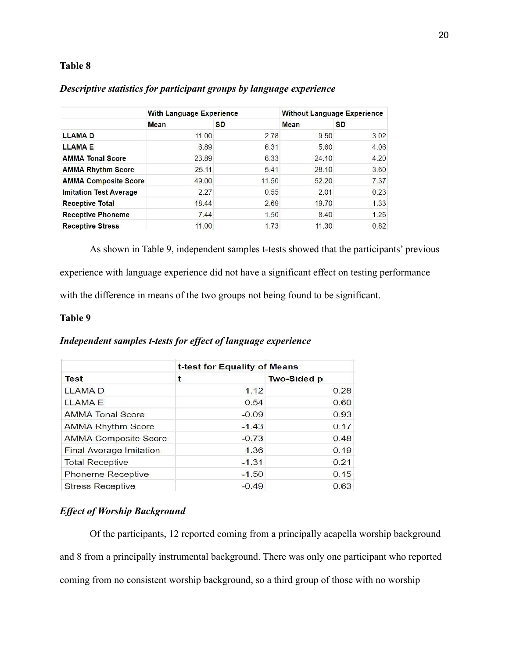## **Table 8**

|                               | <b>With Language Experience</b> |           | <b>Without Language Experience</b> |           |
|-------------------------------|---------------------------------|-----------|------------------------------------|-----------|
|                               | Mean                            | <b>SD</b> | <b>Mean</b>                        | <b>SD</b> |
| <b>LLAMAD</b>                 | 11.00                           | 2.78      | 9.50                               | 3.02      |
| <b>LLAMAE</b>                 | 6.89                            | 6.31      | 5.60                               | 4.06      |
| <b>AMMA Tonal Score</b>       | 23.89                           | 6.33      | 24.10                              | 4.20      |
| <b>AMMA Rhythm Score</b>      | 25.11                           | 5.41      | 28.10                              | 3.60      |
| <b>AMMA Composite Score</b>   | 49.00                           | 11.50     | 52.20                              | 7.37      |
| <b>Imitation Test Average</b> | 2.27                            | 0.55      | 2.01                               | 0.23      |
| <b>Receptive Total</b>        | 18.44                           | 2.69      | 19.70                              | 1.33      |
| <b>Receptive Phoneme</b>      | 7.44                            | 1.50      | 8.40                               | 1.26      |
| <b>Receptive Stress</b>       | 11.00                           | 1.73      | 11.30                              | 0.82      |

## *Descriptive statistics for participant groups by language experience*

As shown in Table 9, independent samples t-tests showed that the participants' previous experience with language experience did not have a significant effect on testing performance with the difference in means of the two groups not being found to be significant.

#### **Table 9**

## *Independent samples t-tests for effect of language experience*

|                             | t-test for Equality of Means |                    |  |  |
|-----------------------------|------------------------------|--------------------|--|--|
| <b>Test</b>                 | t                            | <b>Two-Sided p</b> |  |  |
| <b>LLAMAD</b>               | 1.12                         | 0.28               |  |  |
| <b>LLAMAE</b>               | 0.54                         | 0.60               |  |  |
| <b>AMMA Tonal Score</b>     | $-0.09$                      | 0.93               |  |  |
| <b>AMMA Rhythm Score</b>    | $-1.43$                      | 0.17               |  |  |
| <b>AMMA Composite Score</b> | $-0.73$                      | 0.48               |  |  |
| Final Average Imitation     | 1.36                         | 0.19               |  |  |
| <b>Total Receptive</b>      | $-1.31$                      | 0.21               |  |  |
| Phoneme Receptive           | $-1.50$                      | 0.15               |  |  |
| <b>Stress Receptive</b>     | $-0.49$                      | 0.63               |  |  |

## *Effect of Worship Background*

Of the participants, 12 reported coming from a principally acapella worship background and 8 from a principally instrumental background. There was only one participant who reported coming from no consistent worship background, so a third group of those with no worship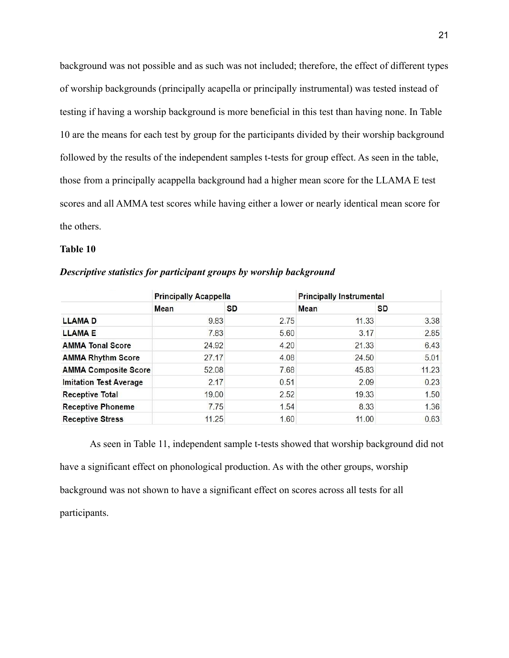background was not possible and as such was not included; therefore, the effect of different types of worship backgrounds (principally acapella or principally instrumental) was tested instead of testing if having a worship background is more beneficial in this test than having none. In Table 10 are the means for each test by group for the participants divided by their worship background followed by the results of the independent samples t-tests for group effect. As seen in the table, those from a principally acappella background had a higher mean score for the LLAMA E test scores and all AMMA test scores while having either a lower or nearly identical mean score for the others.

## **Table 10**

|                               | <b>Principally Acappella</b> |           | <b>Principally Instrumental</b> |           |
|-------------------------------|------------------------------|-----------|---------------------------------|-----------|
|                               | Mean                         | <b>SD</b> | Mean                            | <b>SD</b> |
| <b>LLAMAD</b>                 | 9.83                         | 2.75      | 11.33                           | 3.38      |
| <b>LLAMAE</b>                 | 7.83                         | 5.60      | 3.17                            | 2.85      |
| <b>AMMA Tonal Score</b>       | 24.92                        | 4.20      | 21.33                           | 6.43      |
| <b>AMMA Rhythm Score</b>      | 27.17                        | 4.08      | 24.50                           | 5.01      |
| <b>AMMA Composite Score</b>   | 52.08                        | 7.68      | 45.83                           | 11.23     |
| <b>Imitation Test Average</b> | 2.17                         | 0.51      | 2.09                            | 0.23      |
| <b>Receptive Total</b>        | 19.00                        | 2.52      | 19.33                           | 1.50      |
| <b>Receptive Phoneme</b>      | 7.75                         | 1.54      | 8.33                            | 1.36      |
| <b>Receptive Stress</b>       | 11.25                        | 1.60      | 11.00                           | 0.63      |

*Descriptive statistics for participant groups by worship background*

As seen in Table 11, independent sample t-tests showed that worship background did not have a significant effect on phonological production. As with the other groups, worship background was not shown to have a significant effect on scores across all tests for all participants.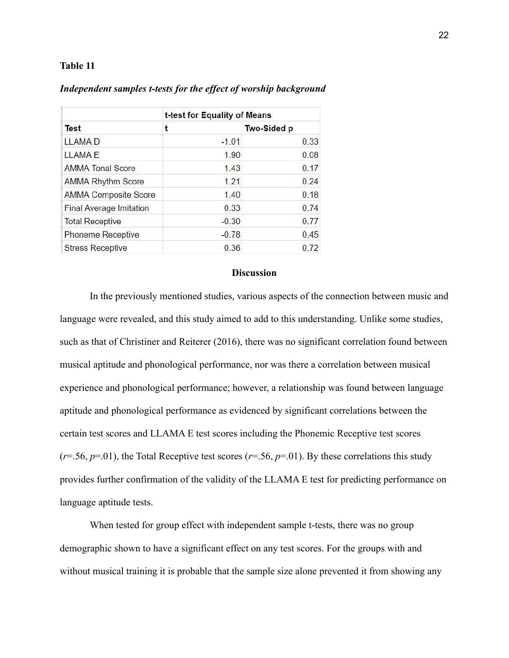#### **Table 11**

|                                | t-test for Equality of Means |                    |  |
|--------------------------------|------------------------------|--------------------|--|
| <b>Test</b>                    | t                            | <b>Two-Sided p</b> |  |
| <b>LLAMAD</b>                  | $-1.01$                      | 0.33               |  |
| <b>LLAMAE</b>                  | 1.90                         | 0.08               |  |
| <b>AMMA Tonal Score</b>        | 1.43                         | 0.17               |  |
| <b>AMMA Rhythm Score</b>       | 1.21                         | 0.24               |  |
| <b>AMMA Composite Score</b>    | 1.40                         | 0.18               |  |
| <b>Final Average Imitation</b> | 0.33                         | 0.74               |  |
| <b>Total Receptive</b>         | $-0.30$                      | 0.77               |  |
| Phoneme Receptive              | $-0.78$                      | 0.45               |  |
| <b>Stress Receptive</b>        | 0.36                         | 0.72               |  |

## *Independent samples t-tests for the effect of worship background*

#### **Discussion**

In the previously mentioned studies, various aspects of the connection between music and language were revealed, and this study aimed to add to this understanding. Unlike some studies, such as that of Christiner and Reiterer (2016), there was no significant correlation found between musical aptitude and phonological performance, nor was there a correlation between musical experience and phonological performance; however, a relationship was found between language aptitude and phonological performance as evidenced by significant correlations between the certain test scores and LLAMA E test scores including the Phonemic Receptive test scores  $(r=0.56, p=0.01)$ , the Total Receptive test scores  $(r=0.56, p=0.01)$ . By these correlations this study provides further confirmation of the validity of the LLAMA E test for predicting performance on language aptitude tests.

When tested for group effect with independent sample t-tests, there was no group demographic shown to have a significant effect on any test scores. For the groups with and without musical training it is probable that the sample size alone prevented it from showing any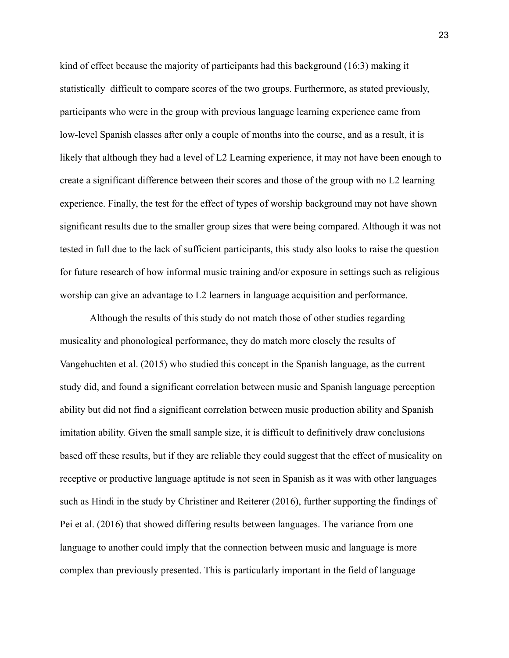kind of effect because the majority of participants had this background (16:3) making it statistically difficult to compare scores of the two groups. Furthermore, as stated previously, participants who were in the group with previous language learning experience came from low-level Spanish classes after only a couple of months into the course, and as a result, it is likely that although they had a level of L2 Learning experience, it may not have been enough to create a significant difference between their scores and those of the group with no L2 learning experience. Finally, the test for the effect of types of worship background may not have shown significant results due to the smaller group sizes that were being compared. Although it was not tested in full due to the lack of sufficient participants, this study also looks to raise the question for future research of how informal music training and/or exposure in settings such as religious worship can give an advantage to L2 learners in language acquisition and performance.

Although the results of this study do not match those of other studies regarding musicality and phonological performance, they do match more closely the results of Vangehuchten et al. (2015) who studied this concept in the Spanish language, as the current study did, and found a significant correlation between music and Spanish language perception ability but did not find a significant correlation between music production ability and Spanish imitation ability. Given the small sample size, it is difficult to definitively draw conclusions based off these results, but if they are reliable they could suggest that the effect of musicality on receptive or productive language aptitude is not seen in Spanish as it was with other languages such as Hindi in the study by Christiner and Reiterer (2016), further supporting the findings of Pei et al. (2016) that showed differing results between languages. The variance from one language to another could imply that the connection between music and language is more complex than previously presented. This is particularly important in the field of language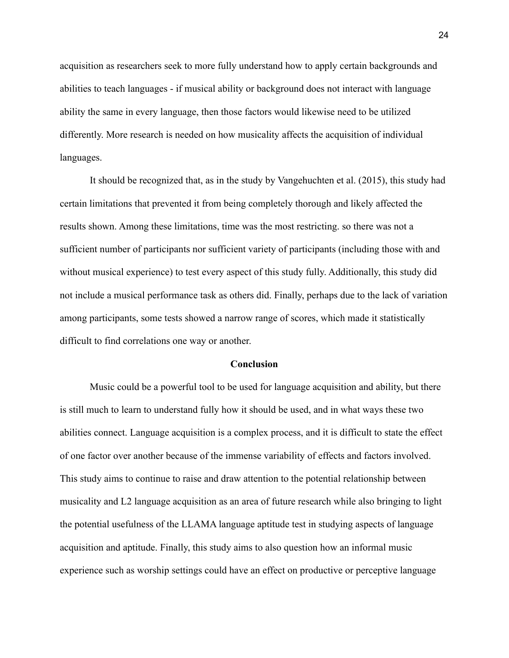acquisition as researchers seek to more fully understand how to apply certain backgrounds and abilities to teach languages - if musical ability or background does not interact with language ability the same in every language, then those factors would likewise need to be utilized differently. More research is needed on how musicality affects the acquisition of individual languages.

It should be recognized that, as in the study by Vangehuchten et al. (2015), this study had certain limitations that prevented it from being completely thorough and likely affected the results shown. Among these limitations, time was the most restricting. so there was not a sufficient number of participants nor sufficient variety of participants (including those with and without musical experience) to test every aspect of this study fully. Additionally, this study did not include a musical performance task as others did. Finally, perhaps due to the lack of variation among participants, some tests showed a narrow range of scores, which made it statistically difficult to find correlations one way or another.

#### **Conclusion**

Music could be a powerful tool to be used for language acquisition and ability, but there is still much to learn to understand fully how it should be used, and in what ways these two abilities connect. Language acquisition is a complex process, and it is difficult to state the effect of one factor over another because of the immense variability of effects and factors involved. This study aims to continue to raise and draw attention to the potential relationship between musicality and L2 language acquisition as an area of future research while also bringing to light the potential usefulness of the LLAMA language aptitude test in studying aspects of language acquisition and aptitude. Finally, this study aims to also question how an informal music experience such as worship settings could have an effect on productive or perceptive language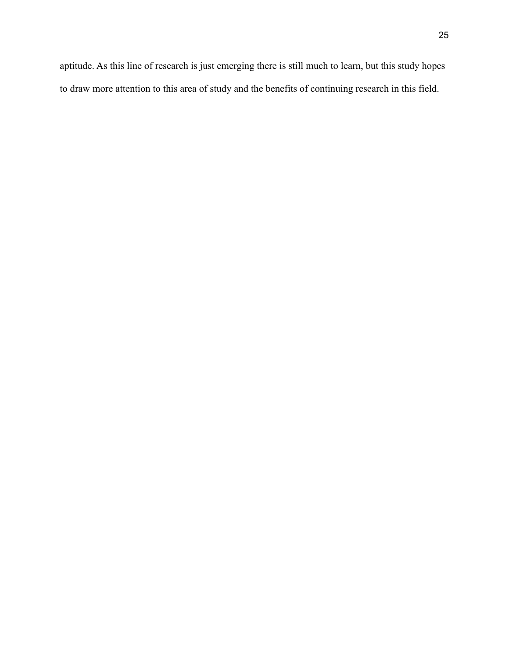aptitude. As this line of research is just emerging there is still much to learn, but this study hopes to draw more attention to this area of study and the benefits of continuing research in this field.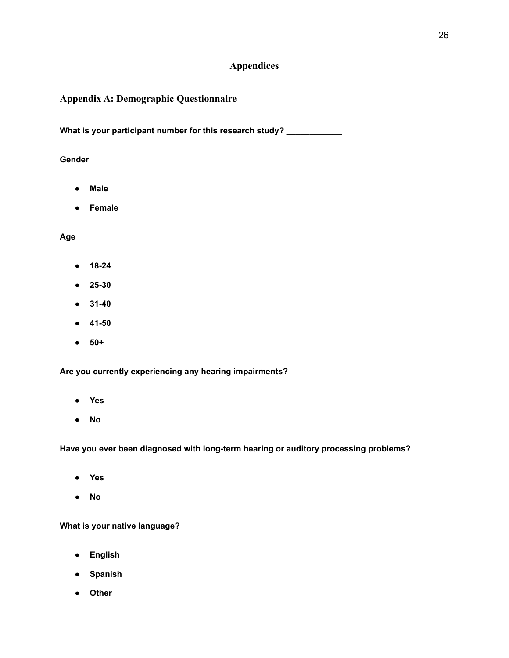## **Appendices**

## **Appendix A: Demographic Questionnaire**

**What is your participant number for this research study? \_\_\_\_\_\_\_\_\_\_\_\_**

## **Gender**

- **● Male**
- **● Female**

## **Age**

- **● 18-24**
- **● 25-30**
- **● 31-40**
- **● 41-50**
- **● 50+**

**Are you currently experiencing any hearing impairments?**

- **● Yes**
- **● No**

**Have you ever been diagnosed with long-term hearing or auditory processing problems?**

- **● Yes**
- **● No**

**What is your native language?**

- **● English**
- **● Spanish**
- **● Other**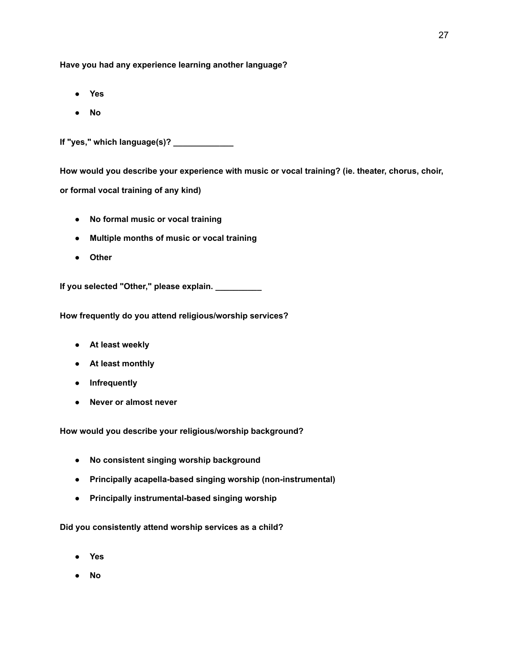**Have you had any experience learning another language?**

- **● Yes**
- **● No**

**If "yes," which language(s)? \_\_\_\_\_\_\_\_\_\_\_\_\_**

**How would you describe your experience with music or vocal training? (ie. theater, chorus, choir, or formal vocal training of any kind)**

- **● No formal music or vocal training**
- **● Multiple months of music or vocal training**
- **● Other**

**If you selected "Other," please explain. \_\_\_\_\_\_\_\_\_\_**

**How frequently do you attend religious/worship services?**

- **● At least weekly**
- **● At least monthly**
- **● Infrequently**
- **● Never or almost never**

**How would you describe your religious/worship background?**

- **● No consistent singing worship background**
- **● Principally acapella-based singing worship (non-instrumental)**
- **● Principally instrumental-based singing worship**

**Did you consistently attend worship services as a child?**

- **● Yes**
- **● No**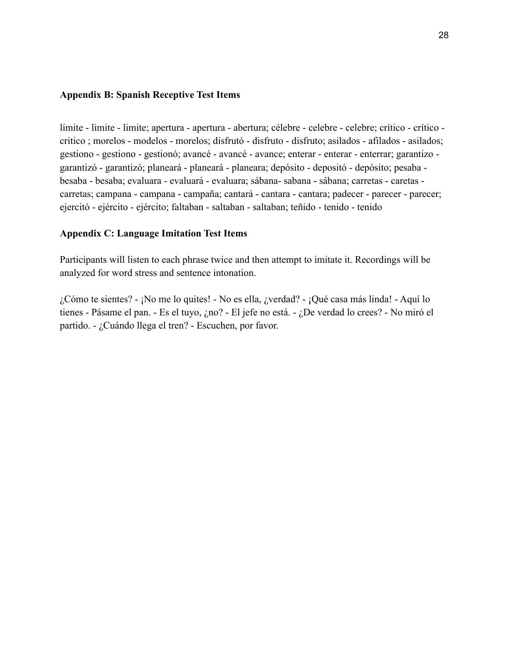## **Appendix B: Spanish Receptive Test Items**

límite - limite - limite; apertura - apertura - abertura; célebre - celebre - celebre; crítico - crítico critico ; morelos - modelos - morelos; disfrutó - disfruto - disfruto; asilados - afilados - asilados; gestiono - gestiono - gestionó; avancé - avancé - avance; enterar - enterar - enterrar; garantizo garantizó - garantizó; planeará - planeará - planeara; depósito - depositó - depósito; pesaba besaba - besaba; evaluara - evaluará - evaluara; sábana- sabana - sábana; carretas - caretas carretas; campana - campana - campaña; cantará - cantara - cantara; padecer - parecer - parecer; ejercitó - ejército - ejército; faltaban - saltaban - saltaban; teñido - tenido - tenido

## **Appendix C: Language Imitation Test Items**

Participants will listen to each phrase twice and then attempt to imitate it. Recordings will be analyzed for word stress and sentence intonation.

¿Cómo te sientes? - ¡No me lo quites! - No es ella, ¿verdad? - ¡Qué casa más linda! - Aquí lo tienes - Pásame el pan. - Es el tuyo, ¿no? - El jefe no está. - ¿De verdad lo crees? - No miró el partido. - ¿Cuándo llega el tren? - Escuchen, por favor.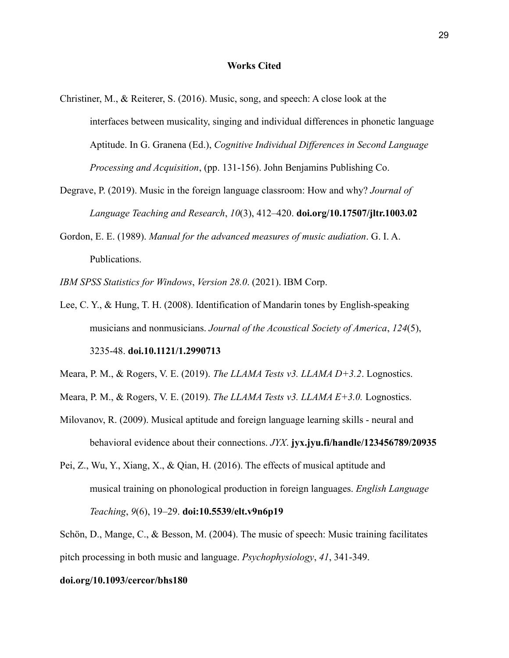#### **Works Cited**

- Christiner, M., & Reiterer, S. (2016). Music, song, and speech: A close look at the interfaces between musicality, singing and individual differences in phonetic language Aptitude. In G. Granena (Ed.), *Cognitive Individual Differences in Second Language Processing and Acquisition*, (pp. 131-156). John Benjamins Publishing Co.
- Degrave, P. (2019). Music in the foreign language classroom: How and why? *Journal of Language Teaching and Research*, *10*(3), 412–420. **doi.org/10.17507/jltr.1003.02**
- Gordon, E. E. (1989). *Manual for the advanced measures of music audiation*. G. I. A. Publications.
- *IBM SPSS Statistics for Windows*, *Version 28.0*. (2021). IBM Corp.
- Lee, C. Y., & Hung, T. H. (2008). Identification of Mandarin tones by English-speaking musicians and nonmusicians. *Journal of the Acoustical Society of America*, *124*(5),

3235-48. **doi.10.1121/1.2990713**

Meara, P. M., & Rogers, V. E. (2019). *The LLAMA Tests v3. LLAMA D+3.2*. Lognostics.

- Meara, P. M., & Rogers, V. E. (2019). *The LLAMA Tests v3. LLAMA E+3.0.* Lognostics.
- Milovanov, R. (2009). Musical aptitude and foreign language learning skills neural and behavioral evidence about their connections. *JYX*. **jyx.jyu.fi/handle/123456789/20935**
- Pei, Z., Wu, Y., Xiang, X., & Qian, H. (2016). The effects of musical aptitude and musical training on phonological production in foreign languages. *English Language Teaching*, *9*(6), 19–29. **doi:10.5539/elt.v9n6p19**

Schön, D., Mange, C., & Besson, M. (2004). The music of speech: Music training facilitates pitch processing in both music and language. *Psychophysiology*, *41*, 341-349.

#### **doi.org/10.1093/cercor/bhs180**